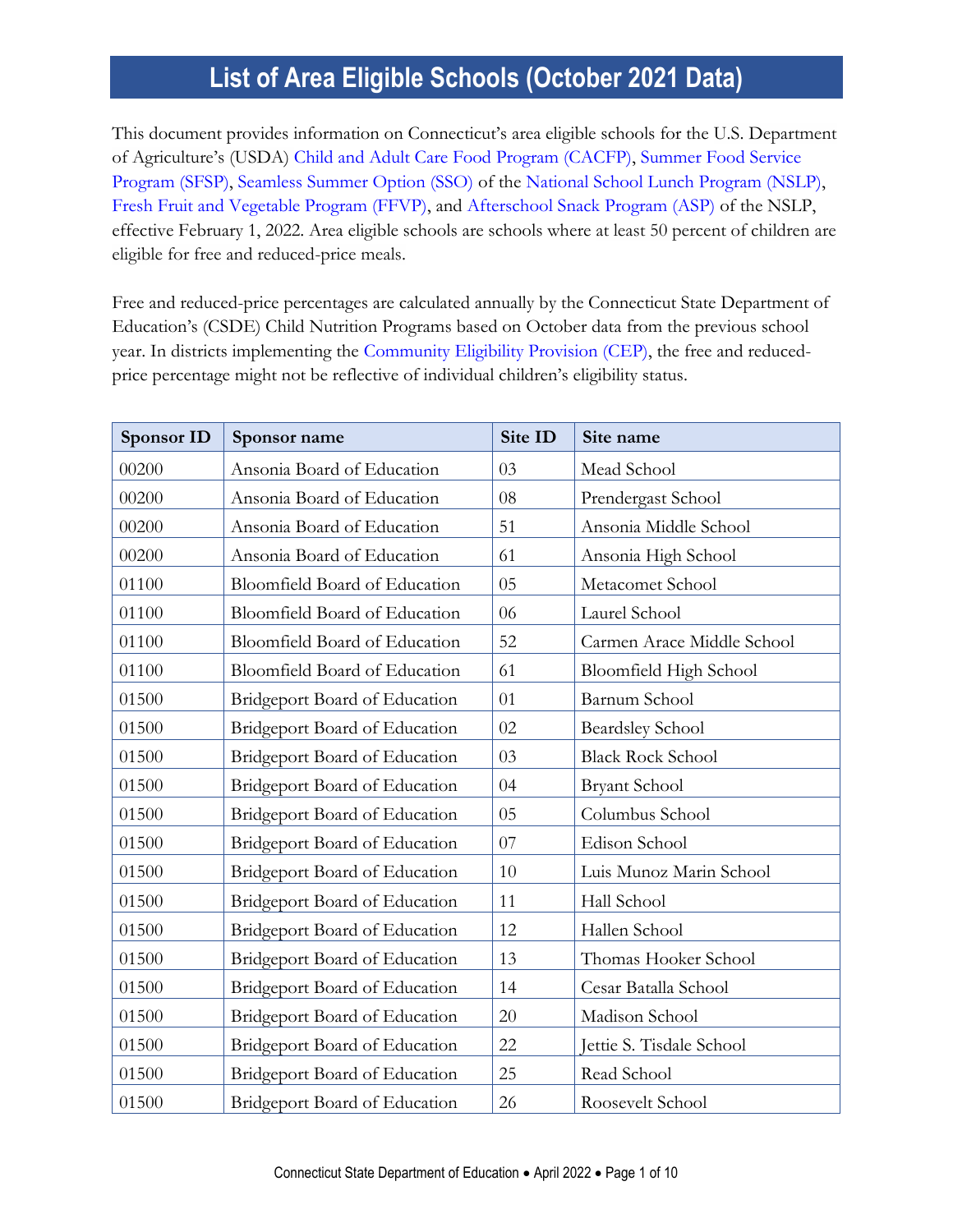This document provides information on Connecticut's area eligible schools for the U.S. Department of Agriculture's (USDA) [Child and Adult Care Food Program \(CACFP\),](https://portal.ct.gov/SDE/Nutrition/Child-and-Adult-Care-Food-Program) [Summer Food Service](https://portal.ct.gov/SDE/Nutrition/Summer-Food-Service-Program)  [Program \(SFSP\),](https://portal.ct.gov/SDE/Nutrition/Summer-Food-Service-Program) [Seamless Summer Option \(SSO\)](https://portal.ct.gov/SDE/Nutrition/Seamless-Summer-Option-SSO-of-the-NSLP) of the [National School Lunch Program \(NSLP\),](https://portal.ct.gov/SDE/Nutrition/National-School-Lunch-Program) [Fresh Fruit and Vegetable Program \(FFVP\),](https://portal.ct.gov/SDE/Nutrition/Fresh-Fruit-and-Vegetable-Program) and [Afterschool Snack Program \(ASP\)](https://portal.ct.gov/SDE/Nutrition/Afterschool-Snack-Program) of the NSLP, effective February 1, 2022. Area eligible schools are schools where at least 50 percent of children are eligible for free and reduced-price meals.

Free and reduced-price percentages are calculated annually by the Connecticut State Department of Education's (CSDE) Child Nutrition Programs based on October data from the previous school year. In districts implementing the [Community Eligibility Provision \(CEP\),](https://portal.ct.gov/SDE/Nutrition/Community-Eligibility-Provision) the free and reducedprice percentage might not be reflective of individual children's eligibility status.

| <b>Sponsor ID</b> | Sponsor name                         | Site ID | Site name                  |
|-------------------|--------------------------------------|---------|----------------------------|
| 00200             | Ansonia Board of Education           | 03      | Mead School                |
| 00200             | Ansonia Board of Education           | 08      | Prendergast School         |
| 00200             | Ansonia Board of Education           | 51      | Ansonia Middle School      |
| 00200             | Ansonia Board of Education           | 61      | Ansonia High School        |
| 01100             | Bloomfield Board of Education        | 05      | Metacomet School           |
| 01100             | Bloomfield Board of Education        | 06      | Laurel School              |
| 01100             | Bloomfield Board of Education        | 52      | Carmen Arace Middle School |
| 01100             | Bloomfield Board of Education        | 61      | Bloomfield High School     |
| 01500             | Bridgeport Board of Education        | 01      | Barnum School              |
| 01500             | <b>Bridgeport Board of Education</b> | 02      | <b>Beardsley School</b>    |
| 01500             | <b>Bridgeport Board of Education</b> | 03      | <b>Black Rock School</b>   |
| 01500             | <b>Bridgeport Board of Education</b> | 04      | <b>Bryant School</b>       |
| 01500             | Bridgeport Board of Education        | 05      | Columbus School            |
| 01500             | <b>Bridgeport Board of Education</b> | 07      | Edison School              |
| 01500             | Bridgeport Board of Education        | 10      | Luis Munoz Marin School    |
| 01500             | Bridgeport Board of Education        | 11      | Hall School                |
| 01500             | Bridgeport Board of Education        | 12      | Hallen School              |
| 01500             | <b>Bridgeport Board of Education</b> | 13      | Thomas Hooker School       |
| 01500             | <b>Bridgeport Board of Education</b> | 14      | Cesar Batalla School       |
| 01500             | <b>Bridgeport Board of Education</b> | 20      | Madison School             |
| 01500             | Bridgeport Board of Education        | 22      | Jettie S. Tisdale School   |
| 01500             | <b>Bridgeport Board of Education</b> | 25      | Read School                |
| 01500             | Bridgeport Board of Education        | 26      | Roosevelt School           |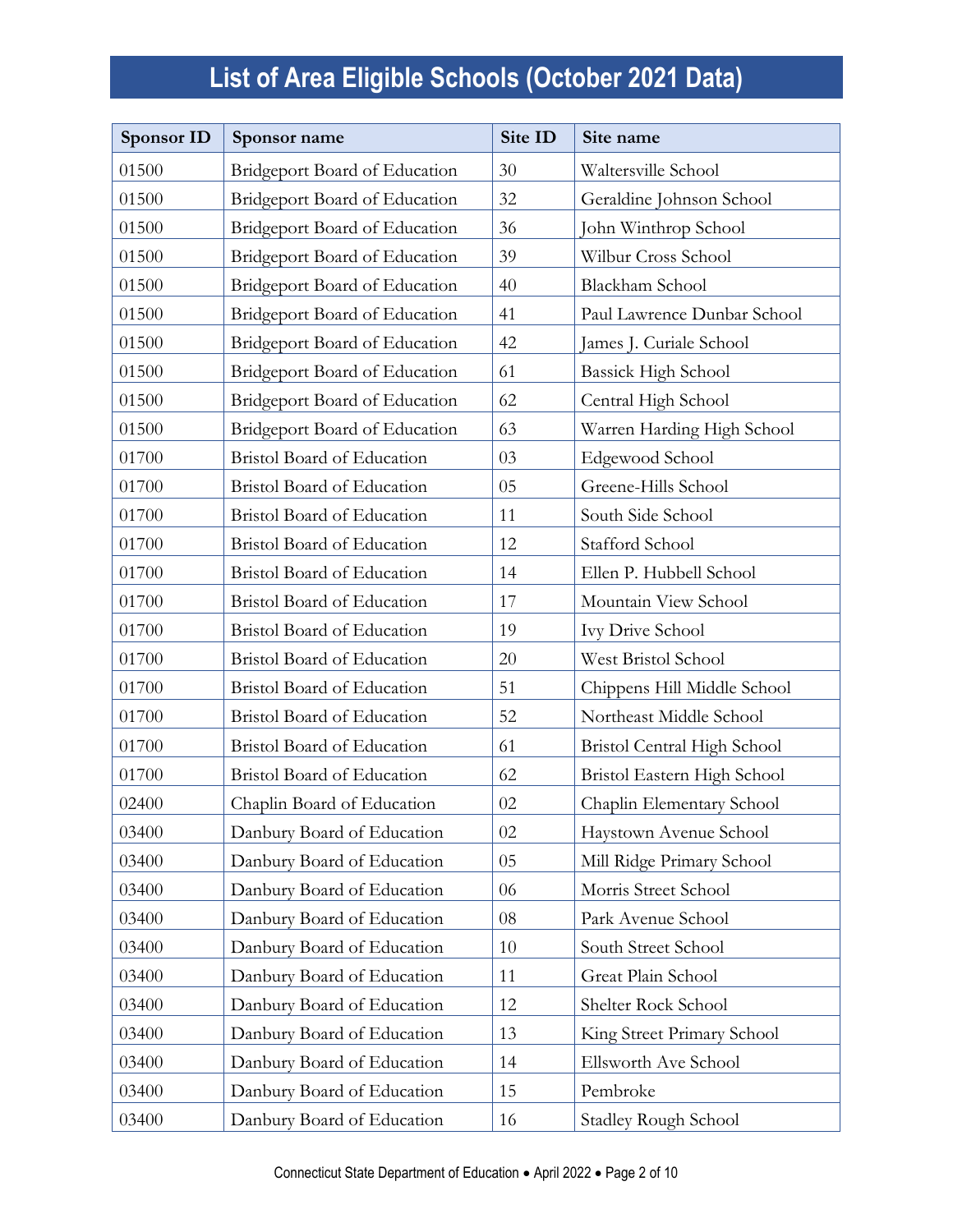| <b>Sponsor ID</b> | Sponsor name                         | Site ID | Site name                   |
|-------------------|--------------------------------------|---------|-----------------------------|
| 01500             | Bridgeport Board of Education        | 30      | Waltersville School         |
| 01500             | Bridgeport Board of Education        | 32      | Geraldine Johnson School    |
| 01500             | <b>Bridgeport Board of Education</b> | 36      | John Winthrop School        |
| 01500             | Bridgeport Board of Education        | 39      | Wilbur Cross School         |
| 01500             | Bridgeport Board of Education        | 40      | <b>Blackham School</b>      |
| 01500             | Bridgeport Board of Education        | 41      | Paul Lawrence Dunbar School |
| 01500             | Bridgeport Board of Education        | 42      | James J. Curiale School     |
| 01500             | Bridgeport Board of Education        | 61      | <b>Bassick High School</b>  |
| 01500             | Bridgeport Board of Education        | 62      | Central High School         |
| 01500             | Bridgeport Board of Education        | 63      | Warren Harding High School  |
| 01700             | <b>Bristol Board of Education</b>    | 03      | Edgewood School             |
| 01700             | Bristol Board of Education           | 05      | Greene-Hills School         |
| 01700             | Bristol Board of Education           | 11      | South Side School           |
| 01700             | <b>Bristol Board of Education</b>    | 12      | Stafford School             |
| 01700             | Bristol Board of Education           | 14      | Ellen P. Hubbell School     |
| 01700             | Bristol Board of Education           | 17      | Mountain View School        |
| 01700             | Bristol Board of Education           | 19      | Ivy Drive School            |
| 01700             | Bristol Board of Education           | 20      | West Bristol School         |
| 01700             | Bristol Board of Education           | 51      | Chippens Hill Middle School |
| 01700             | <b>Bristol Board of Education</b>    | 52      | Northeast Middle School     |
| 01700             | Bristol Board of Education           | 61      | Bristol Central High School |
| 01700             | Bristol Board of Education           | 62      | Bristol Eastern High School |
| 02400             | Chaplin Board of Education           | 02      | Chaplin Elementary School   |
| 03400             | Danbury Board of Education           | 02      | Haystown Avenue School      |
| 03400             | Danbury Board of Education           | 05      | Mill Ridge Primary School   |
| 03400             | Danbury Board of Education           | 06      | Morris Street School        |
| 03400             | Danbury Board of Education           | 08      | Park Avenue School          |
| 03400             | Danbury Board of Education           | 10      | South Street School         |
| 03400             | Danbury Board of Education           | 11      | Great Plain School          |
| 03400             | Danbury Board of Education           | 12      | Shelter Rock School         |
| 03400             | Danbury Board of Education           | 13      | King Street Primary School  |
| 03400             | Danbury Board of Education           | 14      | Ellsworth Ave School        |
| 03400             | Danbury Board of Education           | 15      | Pembroke                    |
| 03400             | Danbury Board of Education           | 16      | <b>Stadley Rough School</b> |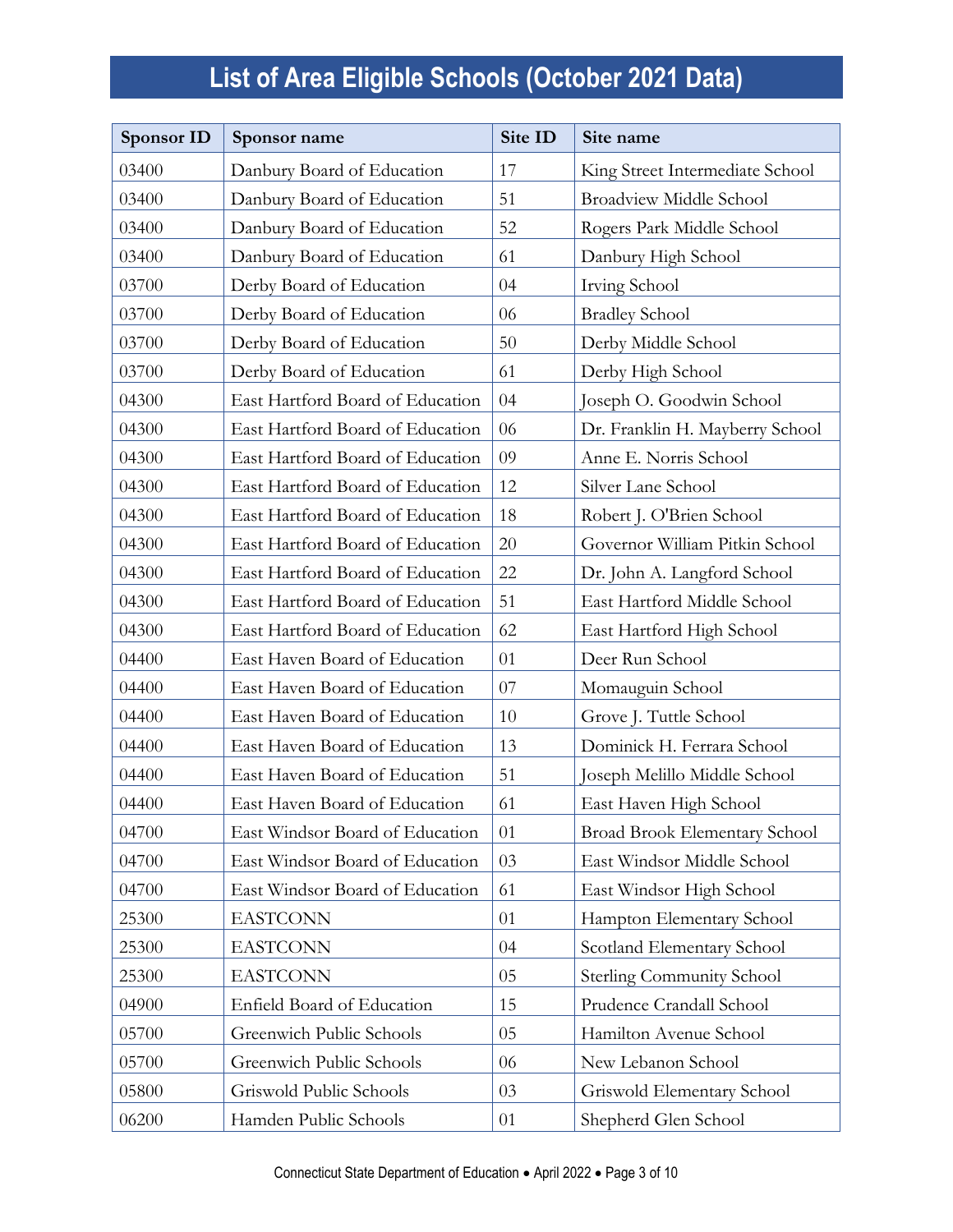| <b>Sponsor ID</b> | Sponsor name                     | Site ID | Site name                        |
|-------------------|----------------------------------|---------|----------------------------------|
| 03400             | Danbury Board of Education       | 17      | King Street Intermediate School  |
| 03400             | Danbury Board of Education       | 51      | <b>Broadview Middle School</b>   |
| 03400             | Danbury Board of Education       | 52      | Rogers Park Middle School        |
| 03400             | Danbury Board of Education       | 61      | Danbury High School              |
| 03700             | Derby Board of Education         | 04      | Irving School                    |
| 03700             | Derby Board of Education         | 06      | <b>Bradley School</b>            |
| 03700             | Derby Board of Education         | 50      | Derby Middle School              |
| 03700             | Derby Board of Education         | 61      | Derby High School                |
| 04300             | East Hartford Board of Education | 04      | Joseph O. Goodwin School         |
| 04300             | East Hartford Board of Education | 06      | Dr. Franklin H. Mayberry School  |
| 04300             | East Hartford Board of Education | 09      | Anne E. Norris School            |
| 04300             | East Hartford Board of Education | 12      | Silver Lane School               |
| 04300             | East Hartford Board of Education | 18      | Robert J. O'Brien School         |
| 04300             | East Hartford Board of Education | 20      | Governor William Pitkin School   |
| 04300             | East Hartford Board of Education | 22      | Dr. John A. Langford School      |
| 04300             | East Hartford Board of Education | 51      | East Hartford Middle School      |
| 04300             | East Hartford Board of Education | 62      | East Hartford High School        |
| 04400             | East Haven Board of Education    | 01      | Deer Run School                  |
| 04400             | East Haven Board of Education    | 07      | Momauguin School                 |
| 04400             | East Haven Board of Education    | 10      | Grove J. Tuttle School           |
| 04400             | East Haven Board of Education    | 13      | Dominick H. Ferrara School       |
| 04400             | East Haven Board of Education    | 51      | Joseph Melillo Middle School     |
| 04400             | East Haven Board of Education    | 61      | East Haven High School           |
| 04700             | East Windsor Board of Education  | 01      | Broad Brook Elementary School    |
| 04700             | East Windsor Board of Education  | 03      | East Windsor Middle School       |
| 04700             | East Windsor Board of Education  | 61      | East Windsor High School         |
| 25300             | <b>EASTCONN</b>                  | 01      | Hampton Elementary School        |
| 25300             | <b>EASTCONN</b>                  | 04      | Scotland Elementary School       |
| 25300             | <b>EASTCONN</b>                  | 05      | <b>Sterling Community School</b> |
| 04900             | Enfield Board of Education       | 15      | Prudence Crandall School         |
| 05700             | Greenwich Public Schools         | 05      | Hamilton Avenue School           |
| 05700             | Greenwich Public Schools         | 06      | New Lebanon School               |
| 05800             | Griswold Public Schools          | 03      | Griswold Elementary School       |
| 06200             | Hamden Public Schools            | 01      | Shepherd Glen School             |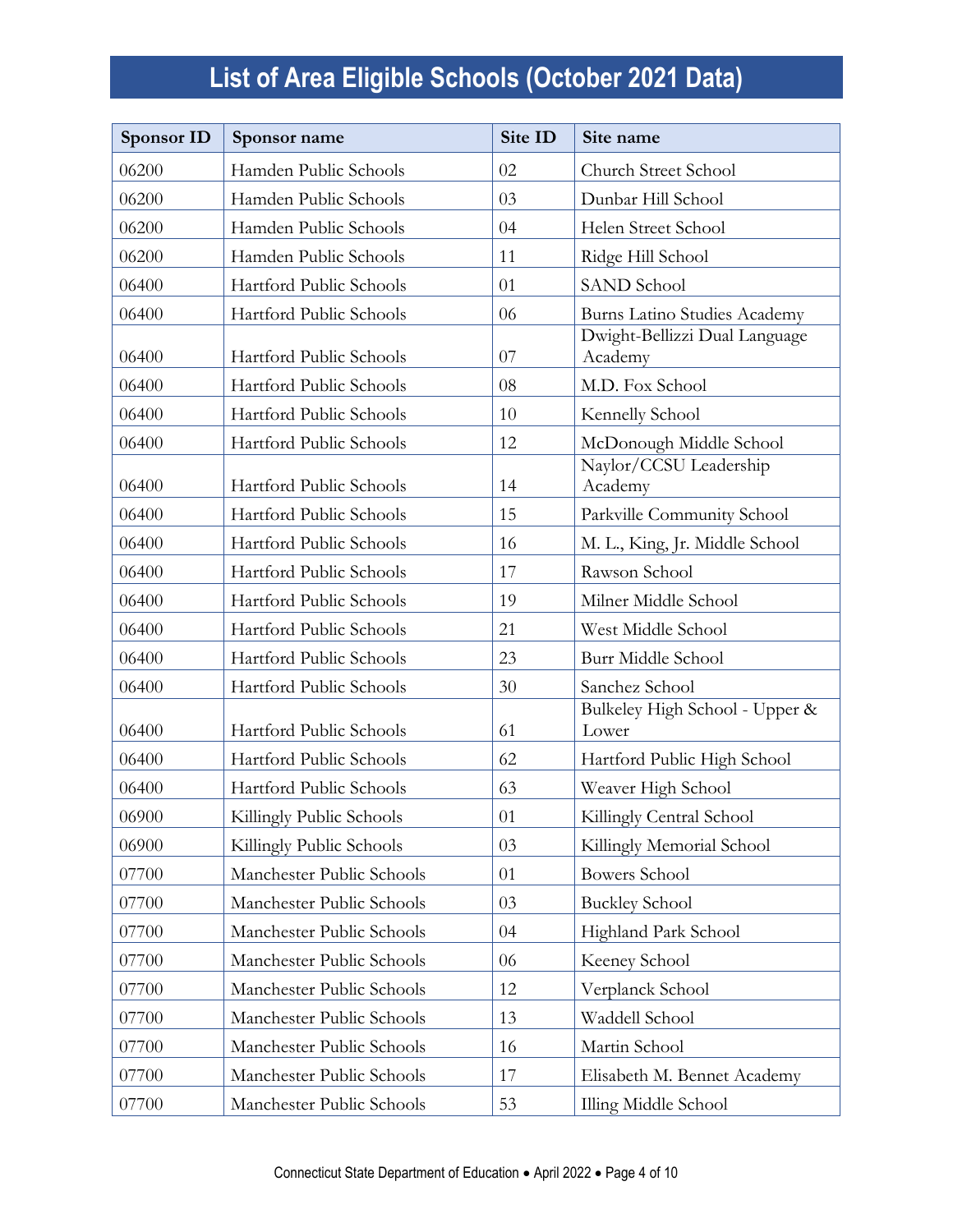| <b>Sponsor ID</b> | Sponsor name              | Site ID | Site name                                |
|-------------------|---------------------------|---------|------------------------------------------|
| 06200             | Hamden Public Schools     | 02      | Church Street School                     |
| 06200             | Hamden Public Schools     | 03      | Dunbar Hill School                       |
| 06200             | Hamden Public Schools     | 04      | Helen Street School                      |
| 06200             | Hamden Public Schools     | 11      | Ridge Hill School                        |
| 06400             | Hartford Public Schools   | 01      | <b>SAND School</b>                       |
| 06400             | Hartford Public Schools   | 06      | Burns Latino Studies Academy             |
| 06400             | Hartford Public Schools   | 07      | Dwight-Bellizzi Dual Language<br>Academy |
| 06400             | Hartford Public Schools   | 08      | M.D. Fox School                          |
| 06400             | Hartford Public Schools   | 10      | Kennelly School                          |
| 06400             | Hartford Public Schools   | 12      | McDonough Middle School                  |
| 06400             | Hartford Public Schools   | 14      | Naylor/CCSU Leadership<br>Academy        |
| 06400             | Hartford Public Schools   | 15      | Parkville Community School               |
| 06400             | Hartford Public Schools   | 16      | M. L., King, Jr. Middle School           |
| 06400             | Hartford Public Schools   | 17      | Rawson School                            |
| 06400             | Hartford Public Schools   | 19      | Milner Middle School                     |
| 06400             | Hartford Public Schools   | 21      | West Middle School                       |
| 06400             | Hartford Public Schools   | 23      | Burr Middle School                       |
| 06400             | Hartford Public Schools   | 30      | Sanchez School                           |
| 06400             | Hartford Public Schools   | 61      | Bulkeley High School - Upper &<br>Lower  |
| 06400             | Hartford Public Schools   | 62      | Hartford Public High School              |
| 06400             | Hartford Public Schools   | 63      | Weaver High School                       |
| 06900             | Killingly Public Schools  | 01      | Killingly Central School                 |
| 06900             | Killingly Public Schools  | 03      | Killingly Memorial School                |
| 07700             | Manchester Public Schools | 01      | <b>Bowers School</b>                     |
| 07700             | Manchester Public Schools | 03      | <b>Buckley School</b>                    |
| 07700             | Manchester Public Schools | 04      | Highland Park School                     |
| 07700             | Manchester Public Schools | 06      | Keeney School                            |
| 07700             | Manchester Public Schools | 12      | Verplanck School                         |
| 07700             | Manchester Public Schools | 13      | Waddell School                           |
| 07700             | Manchester Public Schools | 16      | Martin School                            |
| 07700             | Manchester Public Schools | 17      | Elisabeth M. Bennet Academy              |
| 07700             | Manchester Public Schools | 53      | Illing Middle School                     |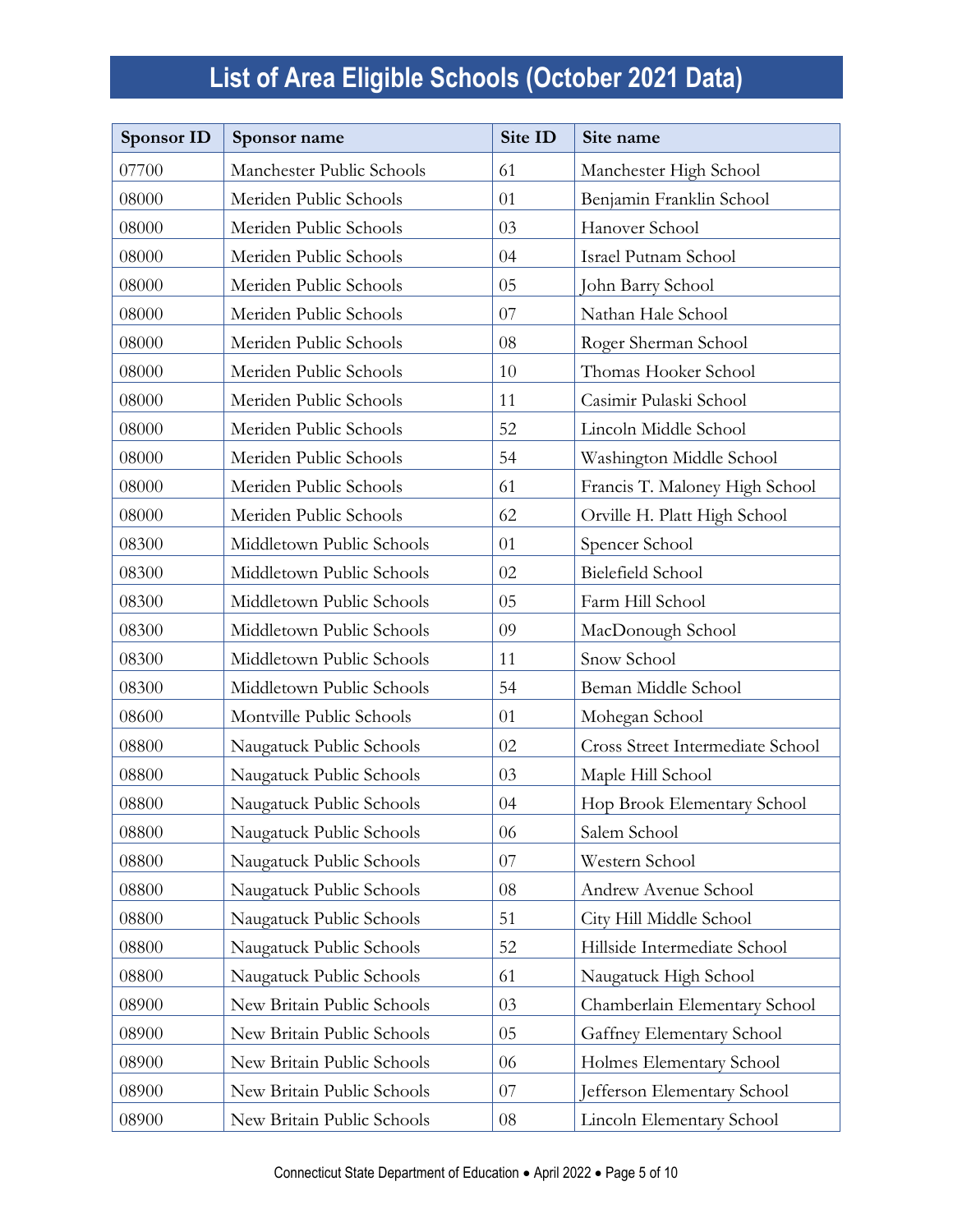| <b>Sponsor ID</b> | Sponsor name               | Site ID | Site name                        |
|-------------------|----------------------------|---------|----------------------------------|
| 07700             | Manchester Public Schools  | 61      | Manchester High School           |
| 08000             | Meriden Public Schools     | 01      | Benjamin Franklin School         |
| 08000             | Meriden Public Schools     | 03      | Hanover School                   |
| 08000             | Meriden Public Schools     | 04      | Israel Putnam School             |
| 08000             | Meriden Public Schools     | 05      | John Barry School                |
| 08000             | Meriden Public Schools     | 07      | Nathan Hale School               |
| 08000             | Meriden Public Schools     | 08      | Roger Sherman School             |
| 08000             | Meriden Public Schools     | 10      | Thomas Hooker School             |
| 08000             | Meriden Public Schools     | 11      | Casimir Pulaski School           |
| 08000             | Meriden Public Schools     | 52      | Lincoln Middle School            |
| 08000             | Meriden Public Schools     | 54      | Washington Middle School         |
| 08000             | Meriden Public Schools     | 61      | Francis T. Maloney High School   |
| 08000             | Meriden Public Schools     | 62      | Orville H. Platt High School     |
| 08300             | Middletown Public Schools  | 01      | Spencer School                   |
| 08300             | Middletown Public Schools  | 02      | Bielefield School                |
| 08300             | Middletown Public Schools  | 05      | Farm Hill School                 |
| 08300             | Middletown Public Schools  | 09      | MacDonough School                |
| 08300             | Middletown Public Schools  | 11      | Snow School                      |
| 08300             | Middletown Public Schools  | 54      | Beman Middle School              |
| 08600             | Montville Public Schools   | 01      | Mohegan School                   |
| 08800             | Naugatuck Public Schools   | 02      | Cross Street Intermediate School |
| 08800             | Naugatuck Public Schools   | 03      | Maple Hill School                |
| 08800             | Naugatuck Public Schools   | 04      | Hop Brook Elementary School      |
| 08800             | Naugatuck Public Schools   | 06      | Salem School                     |
| 08800             | Naugatuck Public Schools   | 07      | Western School                   |
| 08800             | Naugatuck Public Schools   | 08      | Andrew Avenue School             |
| 08800             | Naugatuck Public Schools   | 51      | City Hill Middle School          |
| 08800             | Naugatuck Public Schools   | 52      | Hillside Intermediate School     |
| 08800             | Naugatuck Public Schools   | 61      | Naugatuck High School            |
| 08900             | New Britain Public Schools | 03      | Chamberlain Elementary School    |
| 08900             | New Britain Public Schools | 05      | Gaffney Elementary School        |
| 08900             | New Britain Public Schools | 06      | Holmes Elementary School         |
| 08900             | New Britain Public Schools | 07      | Jefferson Elementary School      |
| 08900             | New Britain Public Schools | 08      | Lincoln Elementary School        |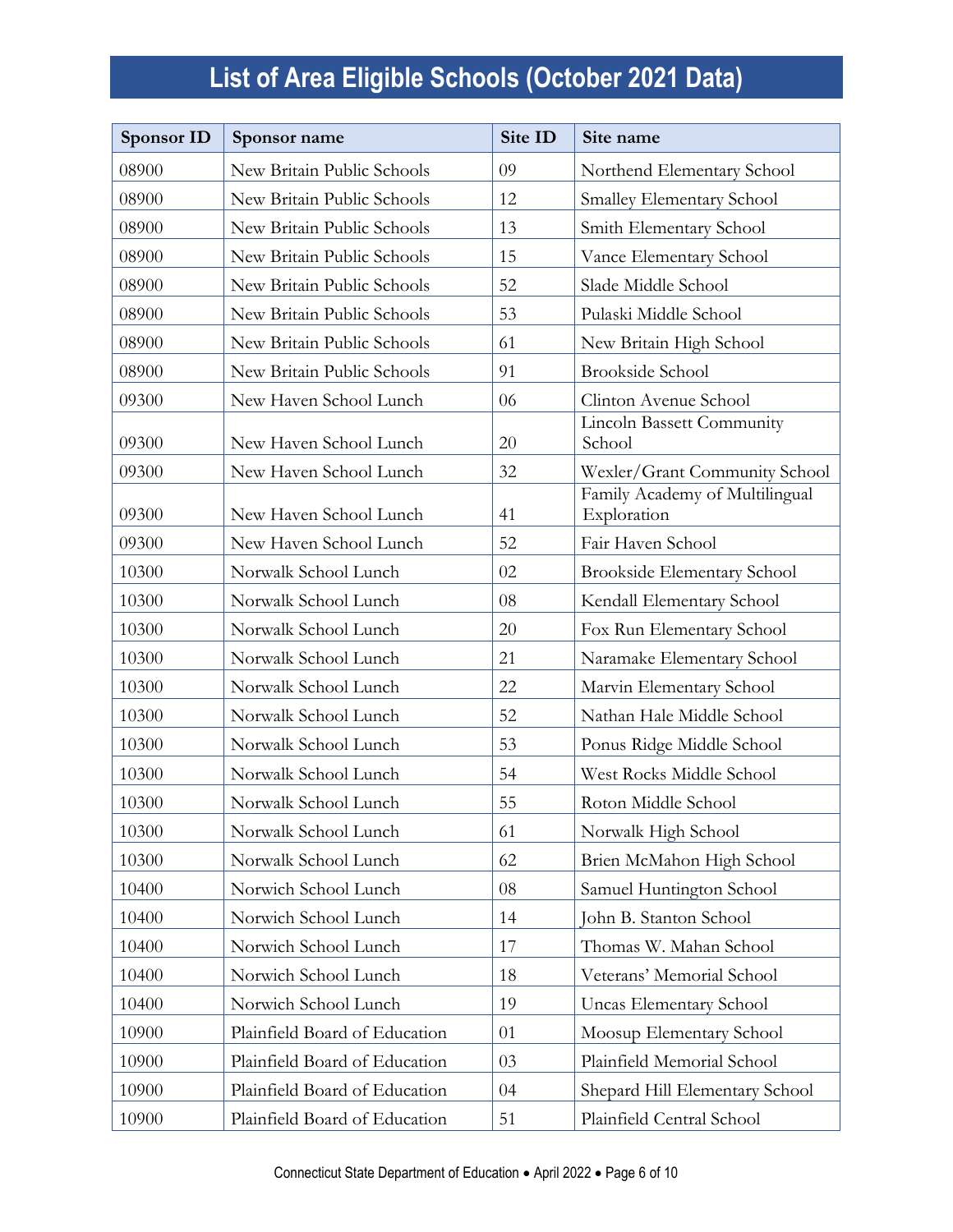| <b>Sponsor ID</b> | Sponsor name                  | Site ID | Site name                                     |
|-------------------|-------------------------------|---------|-----------------------------------------------|
| 08900             | New Britain Public Schools    | 09      | Northend Elementary School                    |
| 08900             | New Britain Public Schools    | 12      | <b>Smalley Elementary School</b>              |
| 08900             | New Britain Public Schools    | 13      | Smith Elementary School                       |
| 08900             | New Britain Public Schools    | 15      | Vance Elementary School                       |
| 08900             | New Britain Public Schools    | 52      | Slade Middle School                           |
| 08900             | New Britain Public Schools    | 53      | Pulaski Middle School                         |
| 08900             | New Britain Public Schools    | 61      | New Britain High School                       |
| 08900             | New Britain Public Schools    | 91      | <b>Brookside School</b>                       |
| 09300             | New Haven School Lunch        | 06      | Clinton Avenue School                         |
| 09300             | New Haven School Lunch        | 20      | Lincoln Bassett Community<br>School           |
| 09300             | New Haven School Lunch        | 32      | Wexler/Grant Community School                 |
| 09300             | New Haven School Lunch        | 41      | Family Academy of Multilingual<br>Exploration |
| 09300             | New Haven School Lunch        | 52      | Fair Haven School                             |
| 10300             | Norwalk School Lunch          | 02      | <b>Brookside Elementary School</b>            |
| 10300             | Norwalk School Lunch          | 08      | Kendall Elementary School                     |
| 10300             | Norwalk School Lunch          | 20      | Fox Run Elementary School                     |
| 10300             | Norwalk School Lunch          | 21      | Naramake Elementary School                    |
| 10300             | Norwalk School Lunch          | 22      | Marvin Elementary School                      |
| 10300             | Norwalk School Lunch          | 52      | Nathan Hale Middle School                     |
| 10300             | Norwalk School Lunch          | 53      | Ponus Ridge Middle School                     |
| 10300             | Norwalk School Lunch          | 54      | West Rocks Middle School                      |
| 10300             | Norwalk School Lunch          | 55      | Roton Middle School                           |
| 10300             | Norwalk School Lunch          | 61      | Norwalk High School                           |
| 10300             | Norwalk School Lunch          | 62      | Brien McMahon High School                     |
| 10400             | Norwich School Lunch          | 08      | Samuel Huntington School                      |
| 10400             | Norwich School Lunch          | 14      | John B. Stanton School                        |
| 10400             | Norwich School Lunch          | 17      | Thomas W. Mahan School                        |
| 10400             | Norwich School Lunch          | 18      | Veterans' Memorial School                     |
| 10400             | Norwich School Lunch          | 19      | <b>Uncas Elementary School</b>                |
| 10900             | Plainfield Board of Education | 01      | Moosup Elementary School                      |
| 10900             | Plainfield Board of Education | 03      | Plainfield Memorial School                    |
| 10900             | Plainfield Board of Education | 04      | Shepard Hill Elementary School                |
| 10900             | Plainfield Board of Education | 51      | Plainfield Central School                     |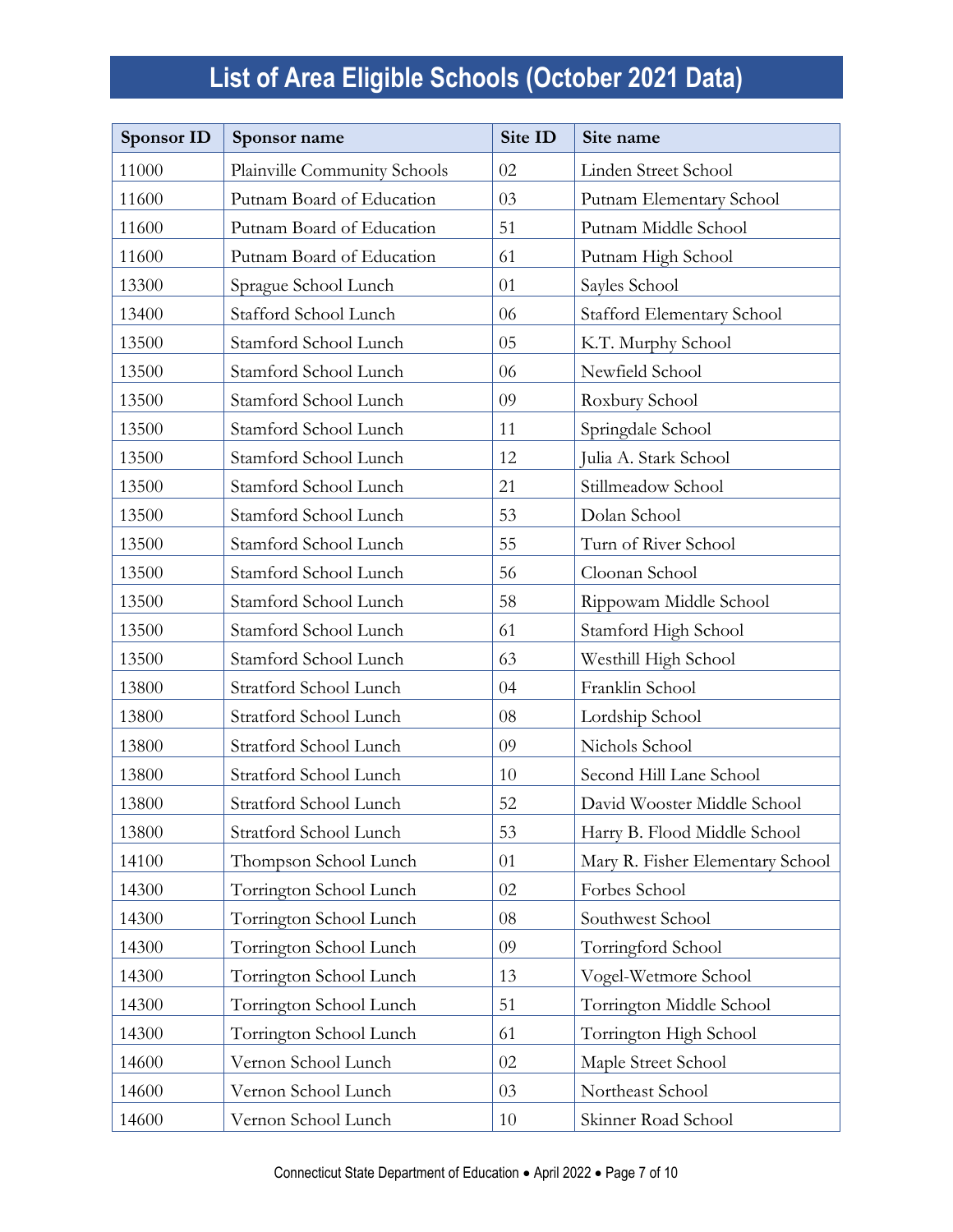| <b>Sponsor ID</b> | Sponsor name                 | Site ID | Site name                        |
|-------------------|------------------------------|---------|----------------------------------|
| 11000             | Plainville Community Schools | 02      | Linden Street School             |
| 11600             | Putnam Board of Education    | 03      | Putnam Elementary School         |
| 11600             | Putnam Board of Education    | 51      | Putnam Middle School             |
| 11600             | Putnam Board of Education    | 61      | Putnam High School               |
| 13300             | Sprague School Lunch         | 01      | Sayles School                    |
| 13400             | Stafford School Lunch        | 06      | Stafford Elementary School       |
| 13500             | Stamford School Lunch        | 05      | K.T. Murphy School               |
| 13500             | Stamford School Lunch        | 06      | Newfield School                  |
| 13500             | Stamford School Lunch        | 09      | Roxbury School                   |
| 13500             | Stamford School Lunch        | 11      | Springdale School                |
| 13500             | Stamford School Lunch        | 12      | Julia A. Stark School            |
| 13500             | Stamford School Lunch        | 21      | Stillmeadow School               |
| 13500             | Stamford School Lunch        | 53      | Dolan School                     |
| 13500             | Stamford School Lunch        | 55      | Turn of River School             |
| 13500             | Stamford School Lunch        | 56      | Cloonan School                   |
| 13500             | Stamford School Lunch        | 58      | Rippowam Middle School           |
| 13500             | Stamford School Lunch        | 61      | Stamford High School             |
| 13500             | Stamford School Lunch        | 63      | Westhill High School             |
| 13800             | Stratford School Lunch       | 04      | Franklin School                  |
| 13800             | Stratford School Lunch       | 08      | Lordship School                  |
| 13800             | Stratford School Lunch       | 09      | Nichols School                   |
| 13800             | Stratford School Lunch       | 10      | Second Hill Lane School          |
| 13800             | Stratford School Lunch       | 52      | David Wooster Middle School      |
| 13800             | Stratford School Lunch       | 53      | Harry B. Flood Middle School     |
| 14100             | Thompson School Lunch        | 01      | Mary R. Fisher Elementary School |
| 14300             | Torrington School Lunch      | 02      | Forbes School                    |
| 14300             | Torrington School Lunch      | 08      | Southwest School                 |
| 14300             | Torrington School Lunch      | 09      | Torringford School               |
| 14300             | Torrington School Lunch      | 13      | Vogel-Wetmore School             |
| 14300             | Torrington School Lunch      | 51      | Torrington Middle School         |
| 14300             | Torrington School Lunch      | 61      | Torrington High School           |
| 14600             | Vernon School Lunch          | 02      | Maple Street School              |
| 14600             | Vernon School Lunch          | 03      | Northeast School                 |
| 14600             | Vernon School Lunch          | 10      | Skinner Road School              |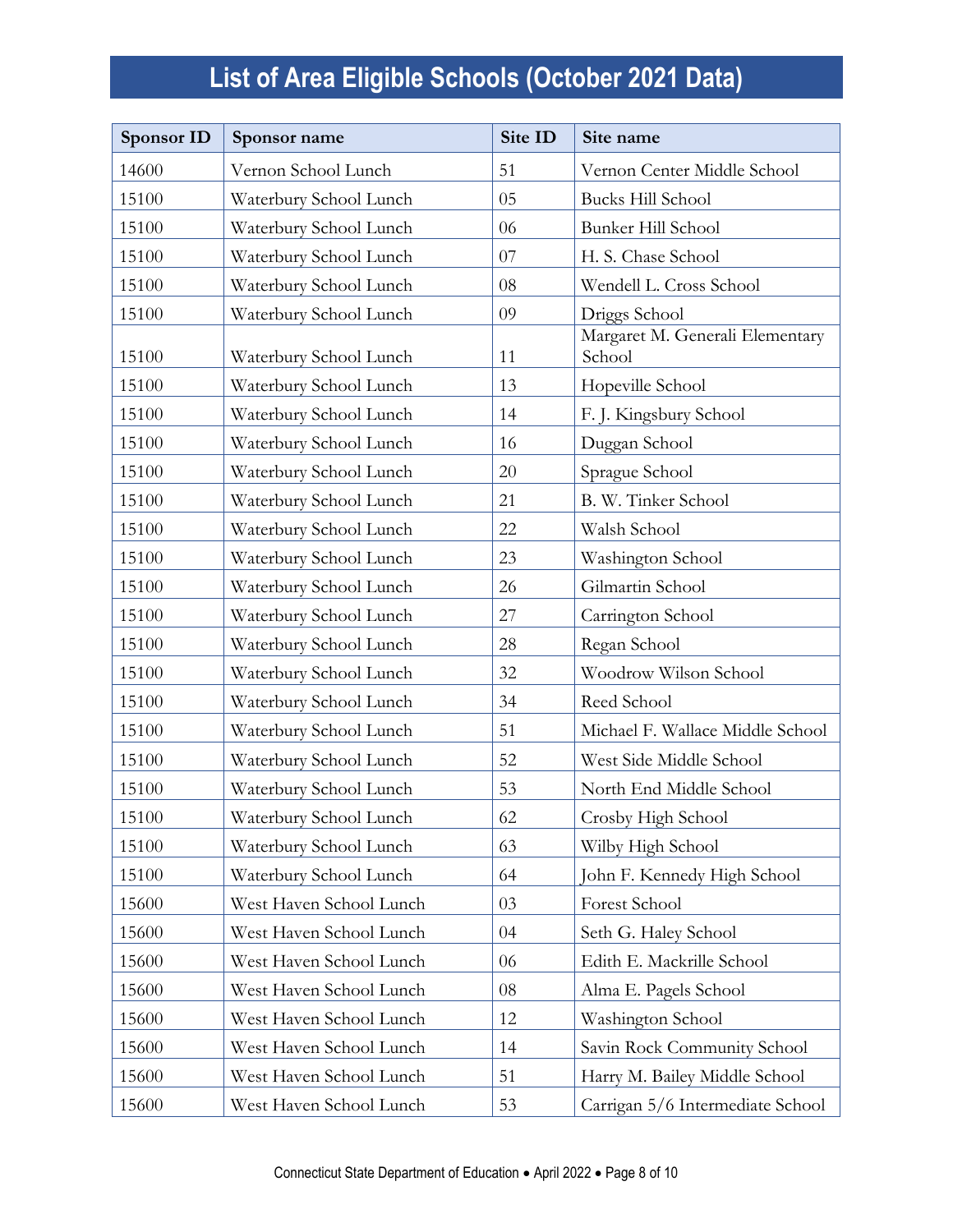| <b>Sponsor ID</b> | Sponsor name            | Site ID | Site name                                 |
|-------------------|-------------------------|---------|-------------------------------------------|
| 14600             | Vernon School Lunch     | 51      | Vernon Center Middle School               |
| 15100             | Waterbury School Lunch  | 05      | <b>Bucks Hill School</b>                  |
| 15100             | Waterbury School Lunch  | 06      | Bunker Hill School                        |
| 15100             | Waterbury School Lunch  | 07      | H. S. Chase School                        |
| 15100             | Waterbury School Lunch  | 08      | Wendell L. Cross School                   |
| 15100             | Waterbury School Lunch  | 09      | Driggs School                             |
| 15100             | Waterbury School Lunch  | 11      | Margaret M. Generali Elementary<br>School |
| 15100             | Waterbury School Lunch  | 13      | Hopeville School                          |
| 15100             | Waterbury School Lunch  | 14      | F. J. Kingsbury School                    |
| 15100             | Waterbury School Lunch  | 16      | Duggan School                             |
| 15100             | Waterbury School Lunch  | 20      | Sprague School                            |
| 15100             | Waterbury School Lunch  | 21      | B. W. Tinker School                       |
| 15100             | Waterbury School Lunch  | 22      | Walsh School                              |
| 15100             | Waterbury School Lunch  | 23      | Washington School                         |
| 15100             | Waterbury School Lunch  | 26      | Gilmartin School                          |
| 15100             | Waterbury School Lunch  | 27      | Carrington School                         |
| 15100             | Waterbury School Lunch  | 28      | Regan School                              |
| 15100             | Waterbury School Lunch  | 32      | Woodrow Wilson School                     |
| 15100             | Waterbury School Lunch  | 34      | Reed School                               |
| 15100             | Waterbury School Lunch  | 51      | Michael F. Wallace Middle School          |
| 15100             | Waterbury School Lunch  | 52      | West Side Middle School                   |
| 15100             | Waterbury School Lunch  | 53      | North End Middle School                   |
| 15100             | Waterbury School Lunch  | 62      | Crosby High School                        |
| 15100             | Waterbury School Lunch  | 63      | Wilby High School                         |
| 15100             | Waterbury School Lunch  | 64      | John F. Kennedy High School               |
| 15600             | West Haven School Lunch | 03      | Forest School                             |
| 15600             | West Haven School Lunch | 04      | Seth G. Haley School                      |
| 15600             | West Haven School Lunch | 06      | Edith E. Mackrille School                 |
| 15600             | West Haven School Lunch | 08      | Alma E. Pagels School                     |
| 15600             | West Haven School Lunch | 12      | Washington School                         |
| 15600             | West Haven School Lunch | 14      | Savin Rock Community School               |
| 15600             | West Haven School Lunch | 51      | Harry M. Bailey Middle School             |
| 15600             | West Haven School Lunch | 53      | Carrigan 5/6 Intermediate School          |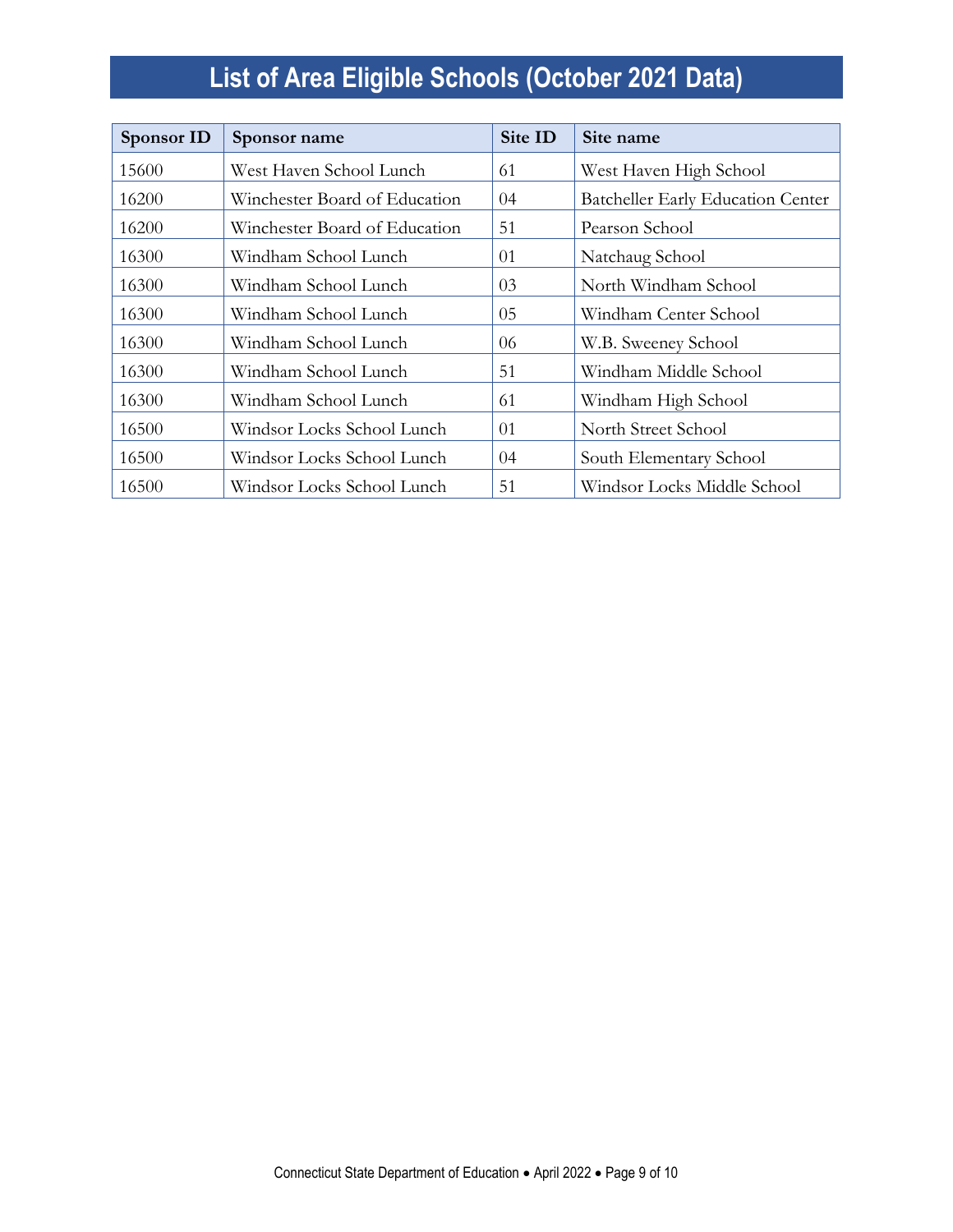| Sponsor ID | Sponsor name                  | Site ID | Site name                                |
|------------|-------------------------------|---------|------------------------------------------|
| 15600      | West Haven School Lunch       | 61      | West Haven High School                   |
| 16200      | Winchester Board of Education | 04      | <b>Batcheller Early Education Center</b> |
| 16200      | Winchester Board of Education | 51      | Pearson School                           |
| 16300      | Windham School Lunch          | 01      | Natchaug School                          |
| 16300      | Windham School Lunch          | 03      | North Windham School                     |
| 16300      | Windham School Lunch          | 05      | Windham Center School                    |
| 16300      | Windham School Lunch          | 06      | W.B. Sweeney School                      |
| 16300      | Windham School Lunch          | 51      | Windham Middle School                    |
| 16300      | Windham School Lunch          | 61      | Windham High School                      |
| 16500      | Windsor Locks School Lunch    | 01      | North Street School                      |
| 16500      | Windsor Locks School Lunch    | $^{04}$ | South Elementary School                  |
| 16500      | Windsor Locks School Lunch    | 51      | Windsor Locks Middle School              |